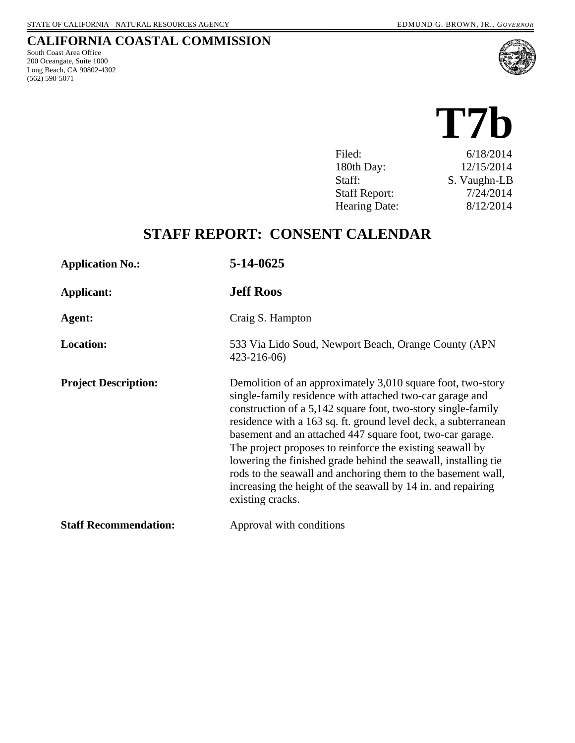#### **CALIFORNIA COASTAL COMMISSION**

South Coast Area Office 200 Oceangate, Suite 1000 Long Beach, CA 90802-4302 (562) 590-5071



# **T7b**  Filed: 6/18/2014 180th Day: 12/15/2014 Staff: S. Vaughn-LB Staff Report: 7/24/2014 Hearing Date: 8/12/2014

## **STAFF REPORT: CONSENT CALENDAR**

| <b>Application No.:</b>      | 5-14-0625                                                                                                                                                                                                                                                                                                                                                                                                                                                                                                                                                                                                 |
|------------------------------|-----------------------------------------------------------------------------------------------------------------------------------------------------------------------------------------------------------------------------------------------------------------------------------------------------------------------------------------------------------------------------------------------------------------------------------------------------------------------------------------------------------------------------------------------------------------------------------------------------------|
| Applicant:                   | <b>Jeff Roos</b>                                                                                                                                                                                                                                                                                                                                                                                                                                                                                                                                                                                          |
| Agent:                       | Craig S. Hampton                                                                                                                                                                                                                                                                                                                                                                                                                                                                                                                                                                                          |
| <b>Location:</b>             | 533 Via Lido Soud, Newport Beach, Orange County (APN)<br>$423 - 216 - 06$                                                                                                                                                                                                                                                                                                                                                                                                                                                                                                                                 |
| <b>Project Description:</b>  | Demolition of an approximately 3,010 square foot, two-story<br>single-family residence with attached two-car garage and<br>construction of a 5,142 square foot, two-story single-family<br>residence with a 163 sq. ft. ground level deck, a subterranean<br>basement and an attached 447 square foot, two-car garage.<br>The project proposes to reinforce the existing seawall by<br>lowering the finished grade behind the seawall, installing tie<br>rods to the seawall and anchoring them to the basement wall,<br>increasing the height of the seawall by 14 in. and repairing<br>existing cracks. |
| <b>Staff Recommendation:</b> | Approval with conditions                                                                                                                                                                                                                                                                                                                                                                                                                                                                                                                                                                                  |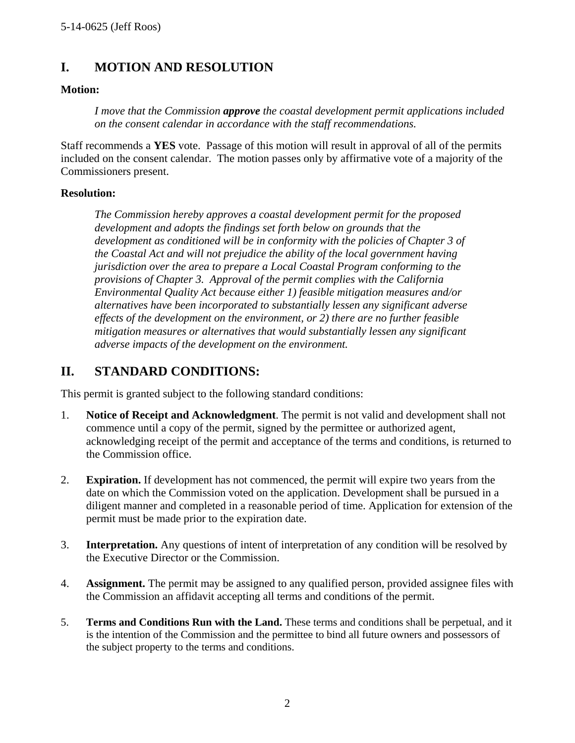### **I. MOTION AND RESOLUTION**

#### **Motion:**

*I move that the Commission approve the coastal development permit applications included on the consent calendar in accordance with the staff recommendations.*

Staff recommends a **YES** vote. Passage of this motion will result in approval of all of the permits included on the consent calendar. The motion passes only by affirmative vote of a majority of the Commissioners present.

#### **Resolution:**

*The Commission hereby approves a coastal development permit for the proposed development and adopts the findings set forth below on grounds that the development as conditioned will be in conformity with the policies of Chapter 3 of the Coastal Act and will not prejudice the ability of the local government having jurisdiction over the area to prepare a Local Coastal Program conforming to the provisions of Chapter 3. Approval of the permit complies with the California Environmental Quality Act because either 1) feasible mitigation measures and/or alternatives have been incorporated to substantially lessen any significant adverse effects of the development on the environment, or 2) there are no further feasible mitigation measures or alternatives that would substantially lessen any significant adverse impacts of the development on the environment.* 

#### **II. STANDARD CONDITIONS:**

This permit is granted subject to the following standard conditions:

- 1. **Notice of Receipt and Acknowledgment**. The permit is not valid and development shall not commence until a copy of the permit, signed by the permittee or authorized agent, acknowledging receipt of the permit and acceptance of the terms and conditions, is returned to the Commission office.
- 2. **Expiration.** If development has not commenced, the permit will expire two years from the date on which the Commission voted on the application. Development shall be pursued in a diligent manner and completed in a reasonable period of time. Application for extension of the permit must be made prior to the expiration date.
- 3. **Interpretation.** Any questions of intent of interpretation of any condition will be resolved by the Executive Director or the Commission.
- 4. **Assignment.** The permit may be assigned to any qualified person, provided assignee files with the Commission an affidavit accepting all terms and conditions of the permit.
- 5. **Terms and Conditions Run with the Land.** These terms and conditions shall be perpetual, and it is the intention of the Commission and the permittee to bind all future owners and possessors of the subject property to the terms and conditions.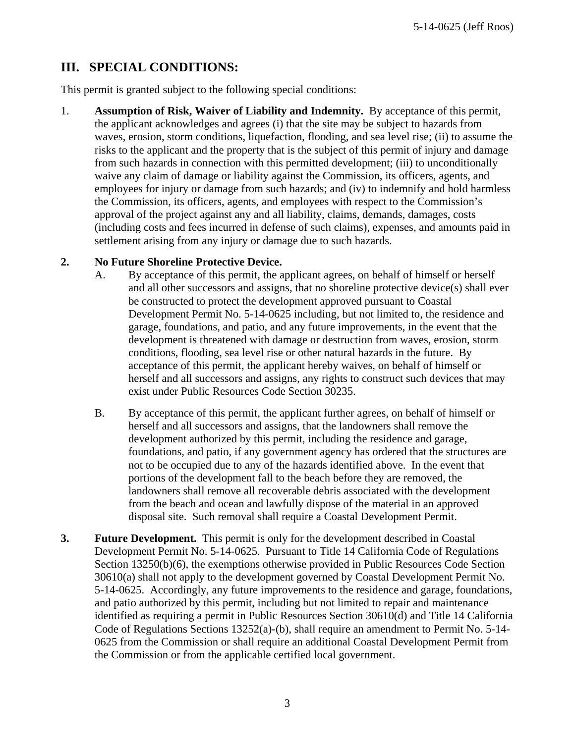### **III. SPECIAL CONDITIONS:**

This permit is granted subject to the following special conditions:

1. **Assumption of Risk, Waiver of Liability and Indemnity.** By acceptance of this permit, the applicant acknowledges and agrees (i) that the site may be subject to hazards from waves, erosion, storm conditions, liquefaction, flooding, and sea level rise; (ii) to assume the risks to the applicant and the property that is the subject of this permit of injury and damage from such hazards in connection with this permitted development; (iii) to unconditionally waive any claim of damage or liability against the Commission, its officers, agents, and employees for injury or damage from such hazards; and (iv) to indemnify and hold harmless the Commission, its officers, agents, and employees with respect to the Commission's approval of the project against any and all liability, claims, demands, damages, costs (including costs and fees incurred in defense of such claims), expenses, and amounts paid in settlement arising from any injury or damage due to such hazards.

#### **2. No Future Shoreline Protective Device.**

- A. By acceptance of this permit, the applicant agrees, on behalf of himself or herself and all other successors and assigns, that no shoreline protective device(s) shall ever be constructed to protect the development approved pursuant to Coastal Development Permit No. 5-14-0625 including, but not limited to, the residence and garage, foundations, and patio, and any future improvements, in the event that the development is threatened with damage or destruction from waves, erosion, storm conditions, flooding, sea level rise or other natural hazards in the future. By acceptance of this permit, the applicant hereby waives, on behalf of himself or herself and all successors and assigns, any rights to construct such devices that may exist under Public Resources Code Section 30235.
- B. By acceptance of this permit, the applicant further agrees, on behalf of himself or herself and all successors and assigns, that the landowners shall remove the development authorized by this permit, including the residence and garage, foundations, and patio, if any government agency has ordered that the structures are not to be occupied due to any of the hazards identified above. In the event that portions of the development fall to the beach before they are removed, the landowners shall remove all recoverable debris associated with the development from the beach and ocean and lawfully dispose of the material in an approved disposal site. Such removal shall require a Coastal Development Permit.
- **3. Future Development.** This permit is only for the development described in Coastal Development Permit No. 5-14-0625. Pursuant to Title 14 California Code of Regulations Section 13250(b)(6), the exemptions otherwise provided in Public Resources Code Section 30610(a) shall not apply to the development governed by Coastal Development Permit No. 5-14-0625. Accordingly, any future improvements to the residence and garage, foundations, and patio authorized by this permit, including but not limited to repair and maintenance identified as requiring a permit in Public Resources Section 30610(d) and Title 14 California Code of Regulations Sections 13252(a)-(b), shall require an amendment to Permit No. 5-14- 0625 from the Commission or shall require an additional Coastal Development Permit from the Commission or from the applicable certified local government.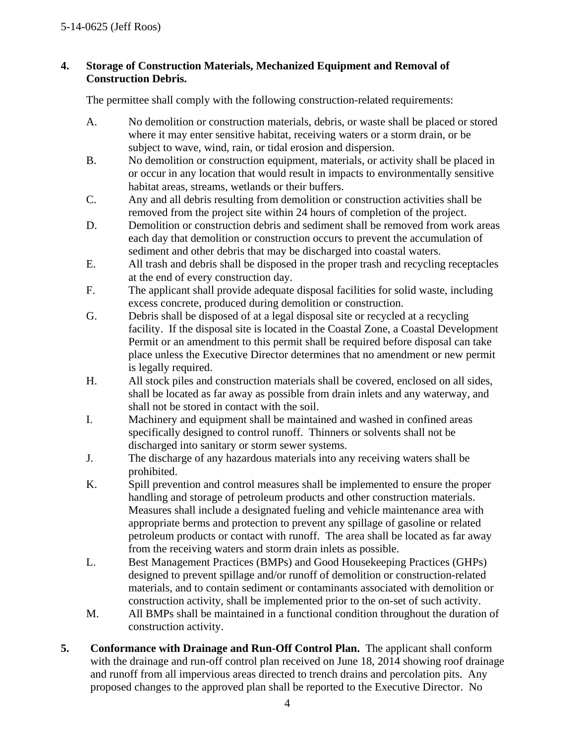#### **4. Storage of Construction Materials, Mechanized Equipment and Removal of Construction Debris.**

The permittee shall comply with the following construction-related requirements:

- A. No demolition or construction materials, debris, or waste shall be placed or stored where it may enter sensitive habitat, receiving waters or a storm drain, or be subject to wave, wind, rain, or tidal erosion and dispersion.
- B. No demolition or construction equipment, materials, or activity shall be placed in or occur in any location that would result in impacts to environmentally sensitive habitat areas, streams, wetlands or their buffers.
- C. Any and all debris resulting from demolition or construction activities shall be removed from the project site within 24 hours of completion of the project.
- D. Demolition or construction debris and sediment shall be removed from work areas each day that demolition or construction occurs to prevent the accumulation of sediment and other debris that may be discharged into coastal waters.
- E. All trash and debris shall be disposed in the proper trash and recycling receptacles at the end of every construction day.
- F. The applicant shall provide adequate disposal facilities for solid waste, including excess concrete, produced during demolition or construction.
- G. Debris shall be disposed of at a legal disposal site or recycled at a recycling facility. If the disposal site is located in the Coastal Zone, a Coastal Development Permit or an amendment to this permit shall be required before disposal can take place unless the Executive Director determines that no amendment or new permit is legally required.
- H. All stock piles and construction materials shall be covered, enclosed on all sides, shall be located as far away as possible from drain inlets and any waterway, and shall not be stored in contact with the soil.
- I. Machinery and equipment shall be maintained and washed in confined areas specifically designed to control runoff. Thinners or solvents shall not be discharged into sanitary or storm sewer systems.
- J. The discharge of any hazardous materials into any receiving waters shall be prohibited.
- K. Spill prevention and control measures shall be implemented to ensure the proper handling and storage of petroleum products and other construction materials. Measures shall include a designated fueling and vehicle maintenance area with appropriate berms and protection to prevent any spillage of gasoline or related petroleum products or contact with runoff. The area shall be located as far away from the receiving waters and storm drain inlets as possible.
- L. Best Management Practices (BMPs) and Good Housekeeping Practices (GHPs) designed to prevent spillage and/or runoff of demolition or construction-related materials, and to contain sediment or contaminants associated with demolition or construction activity, shall be implemented prior to the on-set of such activity.
- M. All BMPs shall be maintained in a functional condition throughout the duration of construction activity.
- **5. Conformance with Drainage and Run-Off Control Plan.** The applicant shall conform with the drainage and run-off control plan received on June 18, 2014 showing roof drainage and runoff from all impervious areas directed to trench drains and percolation pits. Any proposed changes to the approved plan shall be reported to the Executive Director. No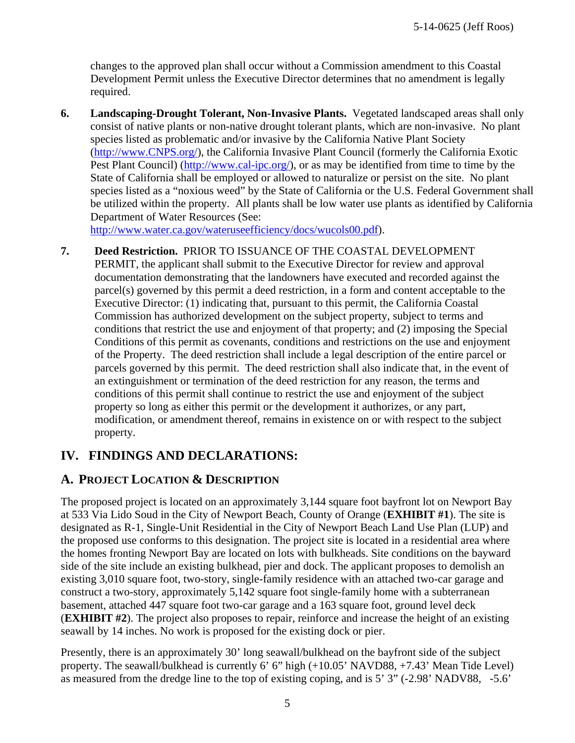changes to the approved plan shall occur without a Commission amendment to this Coastal Development Permit unless the Executive Director determines that no amendment is legally required.

**6. Landscaping-Drought Tolerant, Non-Invasive Plants.** Vegetated landscaped areas shall only consist of native plants or non-native drought tolerant plants, which are non-invasive. No plant species listed as problematic and/or invasive by the California Native Plant Society (http://www.CNPS.org/), the California Invasive Plant Council (formerly the California Exotic Pest Plant Council) (http://www.cal-ipc.org/), or as may be identified from time to time by the State of California shall be employed or allowed to naturalize or persist on the site. No plant species listed as a "noxious weed" by the State of California or the U.S. Federal Government shall be utilized within the property. All plants shall be low water use plants as identified by California Department of Water Resources (See:

http://www.water.ca.gov/wateruseefficiency/docs/wucols00.pdf).

**7. Deed Restriction.** PRIOR TO ISSUANCE OF THE COASTAL DEVELOPMENT PERMIT, the applicant shall submit to the Executive Director for review and approval documentation demonstrating that the landowners have executed and recorded against the parcel(s) governed by this permit a deed restriction, in a form and content acceptable to the Executive Director: (1) indicating that, pursuant to this permit, the California Coastal Commission has authorized development on the subject property, subject to terms and conditions that restrict the use and enjoyment of that property; and (2) imposing the Special Conditions of this permit as covenants, conditions and restrictions on the use and enjoyment of the Property. The deed restriction shall include a legal description of the entire parcel or parcels governed by this permit. The deed restriction shall also indicate that, in the event of an extinguishment or termination of the deed restriction for any reason, the terms and conditions of this permit shall continue to restrict the use and enjoyment of the subject property so long as either this permit or the development it authorizes, or any part, modification, or amendment thereof, remains in existence on or with respect to the subject property.

### **IV. FINDINGS AND DECLARATIONS:**

### **A. PROJECT LOCATION & DESCRIPTION**

The proposed project is located on an approximately 3,144 square foot bayfront lot on Newport Bay at 533 Via Lido Soud in the City of Newport Beach, County of Orange (**EXHIBIT #1**). The site is designated as R-1, Single-Unit Residential in the City of Newport Beach Land Use Plan (LUP) and the proposed use conforms to this designation. The project site is located in a residential area where the homes fronting Newport Bay are located on lots with bulkheads. Site conditions on the bayward side of the site include an existing bulkhead, pier and dock. The applicant proposes to demolish an existing 3,010 square foot, two-story, single-family residence with an attached two-car garage and construct a two-story, approximately 5,142 square foot single-family home with a subterranean basement, attached 447 square foot two-car garage and a 163 square foot, ground level deck (**EXHIBIT #2**). The project also proposes to repair, reinforce and increase the height of an existing seawall by 14 inches. No work is proposed for the existing dock or pier.

Presently, there is an approximately 30' long seawall/bulkhead on the bayfront side of the subject property. The seawall/bulkhead is currently 6' 6" high (+10.05' NAVD88, +7.43' Mean Tide Level) as measured from the dredge line to the top of existing coping, and is 5' 3" (-2.98' NADV88, -5.6'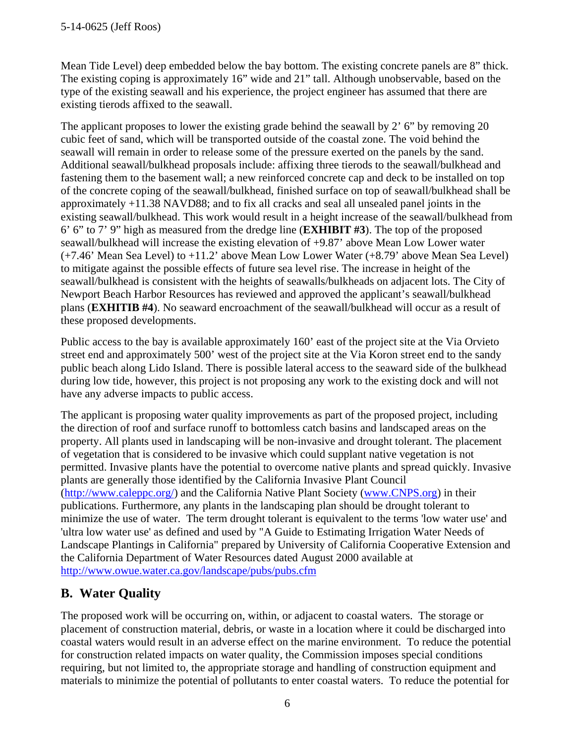Mean Tide Level) deep embedded below the bay bottom. The existing concrete panels are 8" thick. The existing coping is approximately 16" wide and 21" tall. Although unobservable, based on the type of the existing seawall and his experience, the project engineer has assumed that there are existing tierods affixed to the seawall.

The applicant proposes to lower the existing grade behind the seawall by 2' 6" by removing 20 cubic feet of sand, which will be transported outside of the coastal zone. The void behind the seawall will remain in order to release some of the pressure exerted on the panels by the sand. Additional seawall/bulkhead proposals include: affixing three tierods to the seawall/bulkhead and fastening them to the basement wall; a new reinforced concrete cap and deck to be installed on top of the concrete coping of the seawall/bulkhead, finished surface on top of seawall/bulkhead shall be approximately +11.38 NAVD88; and to fix all cracks and seal all unsealed panel joints in the existing seawall/bulkhead. This work would result in a height increase of the seawall/bulkhead from 6' 6" to 7' 9" high as measured from the dredge line (**EXHIBIT #3**). The top of the proposed seawall/bulkhead will increase the existing elevation of +9.87' above Mean Low Lower water (+7.46' Mean Sea Level) to +11.2' above Mean Low Lower Water (+8.79' above Mean Sea Level) to mitigate against the possible effects of future sea level rise. The increase in height of the seawall/bulkhead is consistent with the heights of seawalls/bulkheads on adjacent lots. The City of Newport Beach Harbor Resources has reviewed and approved the applicant's seawall/bulkhead plans (**EXHITIB #4**). No seaward encroachment of the seawall/bulkhead will occur as a result of these proposed developments.

Public access to the bay is available approximately 160' east of the project site at the Via Orvieto street end and approximately 500' west of the project site at the Via Koron street end to the sandy public beach along Lido Island. There is possible lateral access to the seaward side of the bulkhead during low tide, however, this project is not proposing any work to the existing dock and will not have any adverse impacts to public access.

The applicant is proposing water quality improvements as part of the proposed project, including the direction of roof and surface runoff to bottomless catch basins and landscaped areas on the property. All plants used in landscaping will be non-invasive and drought tolerant. The placement of vegetation that is considered to be invasive which could supplant native vegetation is not permitted. Invasive plants have the potential to overcome native plants and spread quickly. Invasive plants are generally those identified by the California Invasive Plant Council (http://www.caleppc.org/) and the California Native Plant Society (www.CNPS.org) in their publications. Furthermore, any plants in the landscaping plan should be drought tolerant to minimize the use of water. The term drought tolerant is equivalent to the terms 'low water use' and 'ultra low water use' as defined and used by "A Guide to Estimating Irrigation Water Needs of Landscape Plantings in California" prepared by University of California Cooperative Extension and the California Department of Water Resources dated August 2000 available at http://www.owue.water.ca.gov/landscape/pubs/pubs.cfm

### **B. Water Quality**

The proposed work will be occurring on, within, or adjacent to coastal waters. The storage or placement of construction material, debris, or waste in a location where it could be discharged into coastal waters would result in an adverse effect on the marine environment. To reduce the potential for construction related impacts on water quality, the Commission imposes special conditions requiring, but not limited to, the appropriate storage and handling of construction equipment and materials to minimize the potential of pollutants to enter coastal waters. To reduce the potential for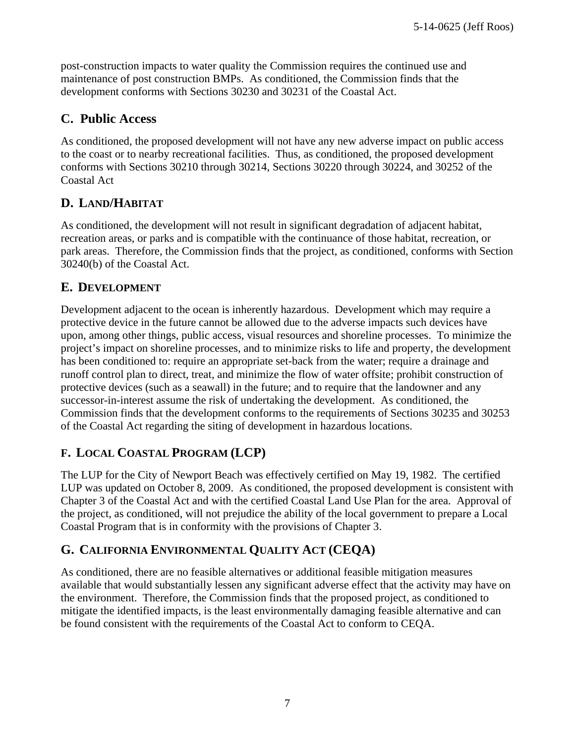post-construction impacts to water quality the Commission requires the continued use and maintenance of post construction BMPs. As conditioned, the Commission finds that the development conforms with Sections 30230 and 30231 of the Coastal Act.

### **C. Public Access**

As conditioned, the proposed development will not have any new adverse impact on public access to the coast or to nearby recreational facilities. Thus, as conditioned, the proposed development conforms with Sections 30210 through 30214, Sections 30220 through 30224, and 30252 of the Coastal Act

### **D. LAND/HABITAT**

As conditioned, the development will not result in significant degradation of adjacent habitat, recreation areas, or parks and is compatible with the continuance of those habitat, recreation, or park areas. Therefore, the Commission finds that the project, as conditioned, conforms with Section 30240(b) of the Coastal Act.

#### **E. DEVELOPMENT**

Development adjacent to the ocean is inherently hazardous. Development which may require a protective device in the future cannot be allowed due to the adverse impacts such devices have upon, among other things, public access, visual resources and shoreline processes. To minimize the project's impact on shoreline processes, and to minimize risks to life and property, the development has been conditioned to: require an appropriate set-back from the water; require a drainage and runoff control plan to direct, treat, and minimize the flow of water offsite; prohibit construction of protective devices (such as a seawall) in the future; and to require that the landowner and any successor-in-interest assume the risk of undertaking the development. As conditioned, the Commission finds that the development conforms to the requirements of Sections 30235 and 30253 of the Coastal Act regarding the siting of development in hazardous locations.

### **F. LOCAL COASTAL PROGRAM (LCP)**

The LUP for the City of Newport Beach was effectively certified on May 19, 1982. The certified LUP was updated on October 8, 2009. As conditioned, the proposed development is consistent with Chapter 3 of the Coastal Act and with the certified Coastal Land Use Plan for the area. Approval of the project, as conditioned, will not prejudice the ability of the local government to prepare a Local Coastal Program that is in conformity with the provisions of Chapter 3.

### **G. CALIFORNIA ENVIRONMENTAL QUALITY ACT (CEQA)**

As conditioned, there are no feasible alternatives or additional feasible mitigation measures available that would substantially lessen any significant adverse effect that the activity may have on the environment. Therefore, the Commission finds that the proposed project, as conditioned to mitigate the identified impacts, is the least environmentally damaging feasible alternative and can be found consistent with the requirements of the Coastal Act to conform to CEQA.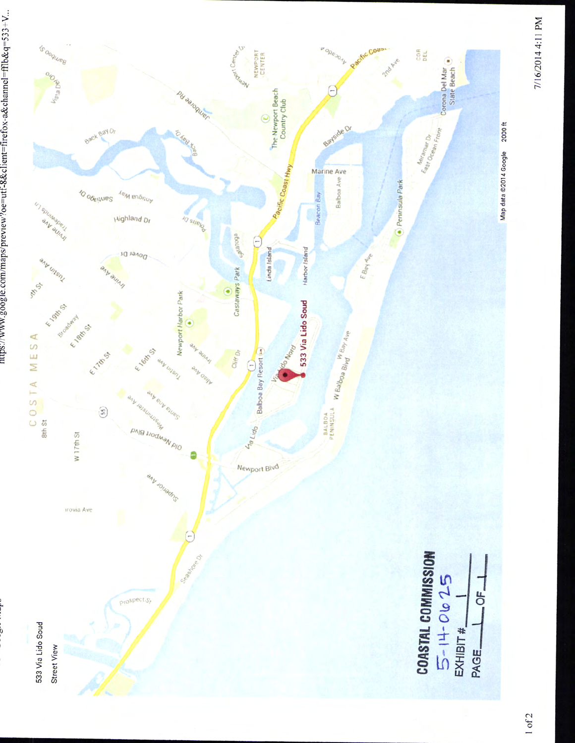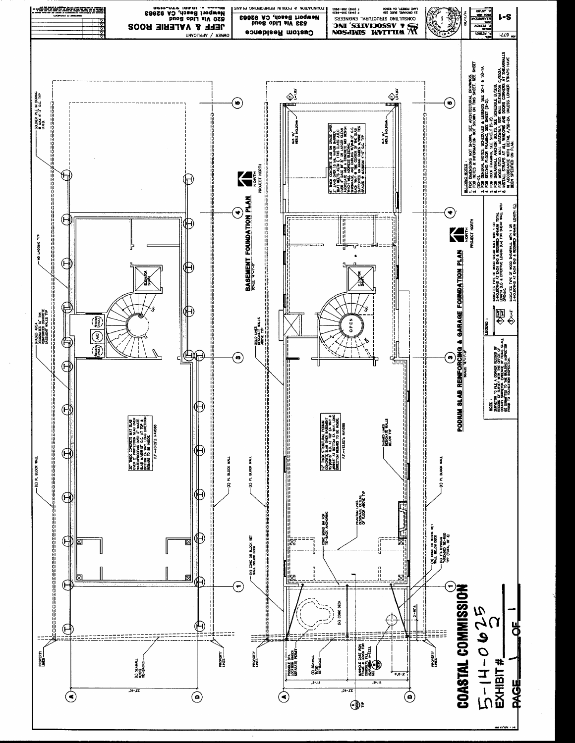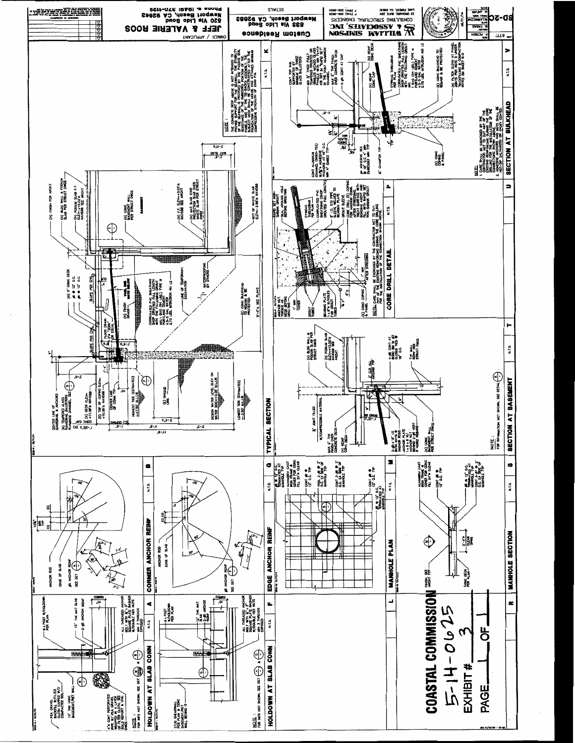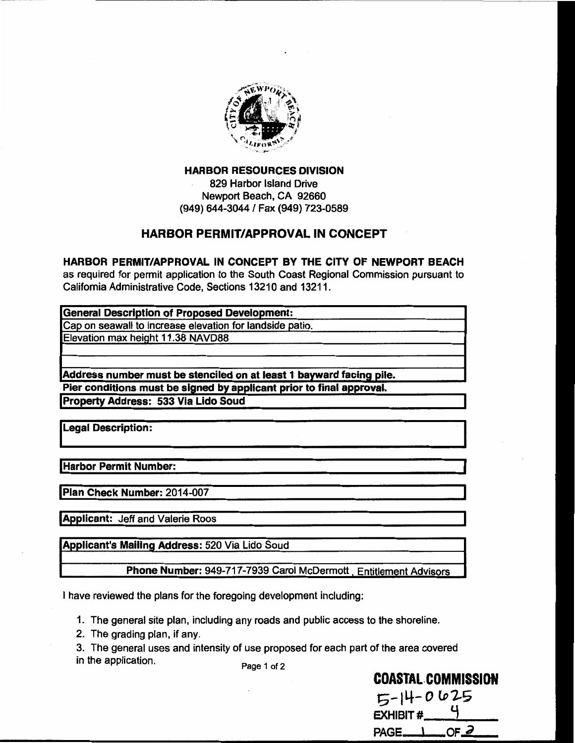

**HARBOR RESOURCES DIVISION** 829 Harbor Island Drive Newport Beach, CA 92660 (949) 644-3044 / Fax (949) 723-0589

#### **HARBOR PERMIT/APPROVAL IN CONCEPT**

HARBOR PERMIT/APPROVAL IN CONCEPT BY THE CITY OF NEWPORT BEACH as required for permit application to the South Coast Regional Commission pursuant to California Administrative Code, Sections 13210 and 13211.

| General Description of Proposed Development:                         |  |
|----------------------------------------------------------------------|--|
| Cap on seawall to increase elevation for landside patio.             |  |
| Elevation max height 11.38 NAVD88                                    |  |
|                                                                      |  |
| Address number must be stenciled on at least 1 bayward facing pile.  |  |
| Pier conditions must be signed by applicant prior to final approval. |  |
| <b>Property Address: 533 Via Lido Soud</b>                           |  |

**Legal Description:** 

Harbor Permit Number:

Plan Check Number: 2014-007

**Applicant: Jeff and Valerie Roos** 

Applicant's Mailing Address: 520 Via Lido Soud

Phone Number: 949-717-7939 Carol McDermott, Entitlement Advisors

I have reviewed the plans for the foregoing development including:

1. The general site plan, including any roads and public access to the shoreline.

- 2. The grading plan, if any.
- 3. The general uses and intensity of use proposed for each part of the area covered in the application.

Page 1 of 2